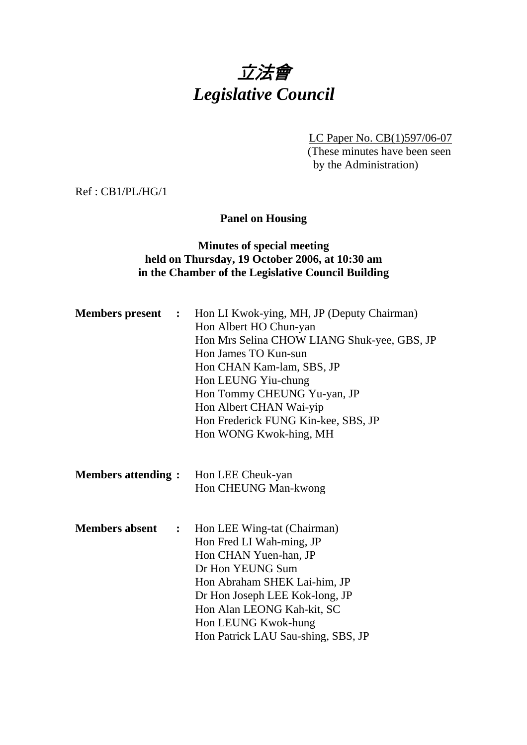# 立法會 *Legislative Council*

LC Paper No. CB(1)597/06-07 (These minutes have been seen by the Administration)

Ref : CB1/PL/HG/1

#### **Panel on Housing**

## **Minutes of special meeting held on Thursday, 19 October 2006, at 10:30 am in the Chamber of the Legislative Council Building**

| <b>Members present :</b>  |                | Hon LI Kwok-ying, MH, JP (Deputy Chairman)<br>Hon Albert HO Chun-yan<br>Hon Mrs Selina CHOW LIANG Shuk-yee, GBS, JP<br>Hon James TO Kun-sun<br>Hon CHAN Kam-lam, SBS, JP<br>Hon LEUNG Yiu-chung<br>Hon Tommy CHEUNG Yu-yan, JP<br>Hon Albert CHAN Wai-yip<br>Hon Frederick FUNG Kin-kee, SBS, JP<br>Hon WONG Kwok-hing, MH |
|---------------------------|----------------|----------------------------------------------------------------------------------------------------------------------------------------------------------------------------------------------------------------------------------------------------------------------------------------------------------------------------|
| <b>Members attending:</b> |                | Hon LEE Cheuk-yan<br>Hon CHEUNG Man-kwong                                                                                                                                                                                                                                                                                  |
| <b>Members absent</b>     | $\ddot{\cdot}$ | Hon LEE Wing-tat (Chairman)<br>Hon Fred LI Wah-ming, JP<br>Hon CHAN Yuen-han, JP<br>Dr Hon YEUNG Sum<br>Hon Abraham SHEK Lai-him, JP<br>Dr Hon Joseph LEE Kok-long, JP<br>Hon Alan LEONG Kah-kit, SC<br>Hon LEUNG Kwok-hung<br>Hon Patrick LAU Sau-shing, SBS, JP                                                          |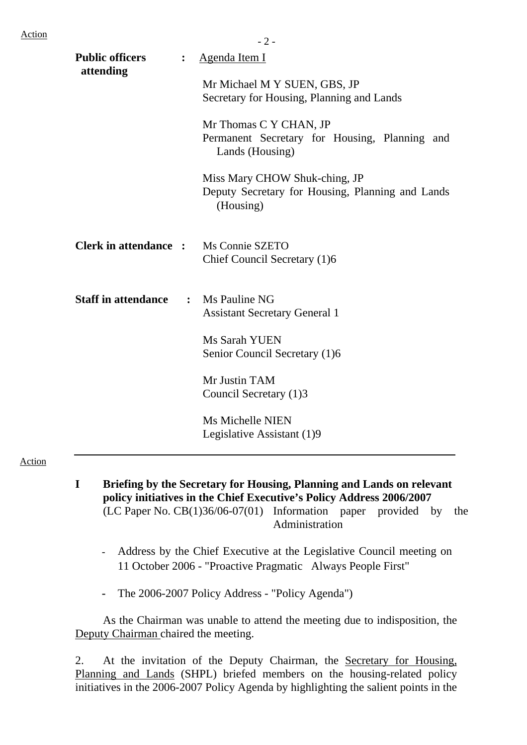| <b>Public officers</b><br>attending | $\ddot{\cdot}$ | Agenda Item I                                                                                  |
|-------------------------------------|----------------|------------------------------------------------------------------------------------------------|
|                                     |                | Mr Michael M Y SUEN, GBS, JP<br>Secretary for Housing, Planning and Lands                      |
|                                     |                | Mr Thomas C Y CHAN, JP<br>Permanent Secretary for Housing, Planning and<br>Lands (Housing)     |
|                                     |                | Miss Mary CHOW Shuk-ching, JP<br>Deputy Secretary for Housing, Planning and Lands<br>(Housing) |
| <b>Clerk in attendance :</b>        |                | Ms Connie SZETO<br>Chief Council Secretary (1)6                                                |
| <b>Staff in attendance</b>          | $\ddot{\cdot}$ | Ms Pauline NG<br><b>Assistant Secretary General 1</b>                                          |
|                                     |                | Ms Sarah YUEN<br>Senior Council Secretary (1)6                                                 |
|                                     |                | Mr Justin TAM<br>Council Secretary (1)3                                                        |
|                                     |                | <b>Ms Michelle NIEN</b><br>Legislative Assistant (1)9                                          |

Action

- **I Briefing by the Secretary for Housing, Planning and Lands on relevant policy initiatives in the Chief Executive's Policy Address 2006/2007**  (LC Paper No. CB(1)36/06-07(01) Information paper provided by the Administration
	- Address by the Chief Executive at the Legislative Council meeting on 11 October 2006 - "Proactive Pragmatic Always People First"
	- The 2006-2007 Policy Address "Policy Agenda")

As the Chairman was unable to attend the meeting due to indisposition, the Deputy Chairman chaired the meeting.

2. At the invitation of the Deputy Chairman, the Secretary for Housing, Planning and Lands (SHPL) briefed members on the housing-related policy initiatives in the 2006-2007 Policy Agenda by highlighting the salient points in the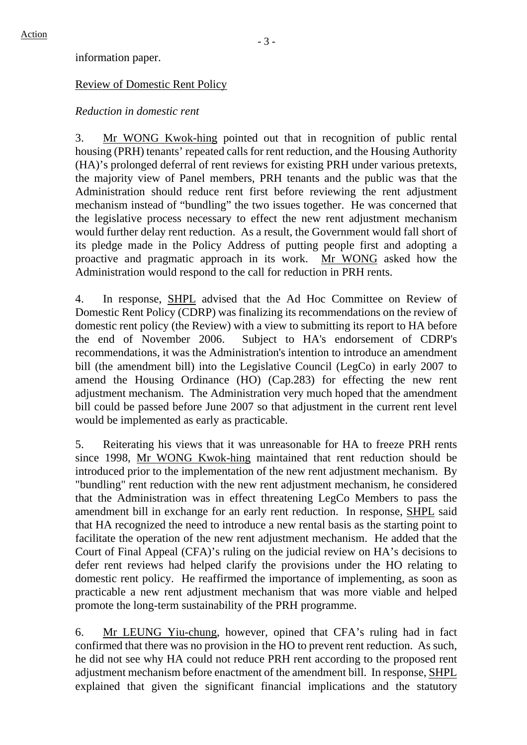information paper.

#### Review of Domestic Rent Policy

#### *Reduction in domestic rent*

3. Mr WONG Kwok-hing pointed out that in recognition of public rental housing (PRH) tenants' repeated calls for rent reduction, and the Housing Authority (HA)'s prolonged deferral of rent reviews for existing PRH under various pretexts, the majority view of Panel members, PRH tenants and the public was that the Administration should reduce rent first before reviewing the rent adjustment mechanism instead of "bundling" the two issues together. He was concerned that the legislative process necessary to effect the new rent adjustment mechanism would further delay rent reduction. As a result, the Government would fall short of its pledge made in the Policy Address of putting people first and adopting a proactive and pragmatic approach in its work. Mr WONG asked how the Administration would respond to the call for reduction in PRH rents.

4. In response, SHPL advised that the Ad Hoc Committee on Review of Domestic Rent Policy (CDRP) was finalizing its recommendations on the review of domestic rent policy (the Review) with a view to submitting its report to HA before the end of November 2006. Subject to HA's endorsement of CDRP's recommendations, it was the Administration's intention to introduce an amendment bill (the amendment bill) into the Legislative Council (LegCo) in early 2007 to amend the Housing Ordinance (HO) (Cap.283) for effecting the new rent adjustment mechanism. The Administration very much hoped that the amendment bill could be passed before June 2007 so that adjustment in the current rent level would be implemented as early as practicable.

5. Reiterating his views that it was unreasonable for HA to freeze PRH rents since 1998, Mr WONG Kwok-hing maintained that rent reduction should be introduced prior to the implementation of the new rent adjustment mechanism. By "bundling" rent reduction with the new rent adjustment mechanism, he considered that the Administration was in effect threatening LegCo Members to pass the amendment bill in exchange for an early rent reduction. In response, SHPL said that HA recognized the need to introduce a new rental basis as the starting point to facilitate the operation of the new rent adjustment mechanism. He added that the Court of Final Appeal (CFA)'s ruling on the judicial review on HA's decisions to defer rent reviews had helped clarify the provisions under the HO relating to domestic rent policy. He reaffirmed the importance of implementing, as soon as practicable a new rent adjustment mechanism that was more viable and helped promote the long-term sustainability of the PRH programme.

6. Mr LEUNG Yiu-chung, however, opined that CFA's ruling had in fact confirmed that there was no provision in the HO to prevent rent reduction. As such, he did not see why HA could not reduce PRH rent according to the proposed rent adjustment mechanism before enactment of the amendment bill. In response, SHPL explained that given the significant financial implications and the statutory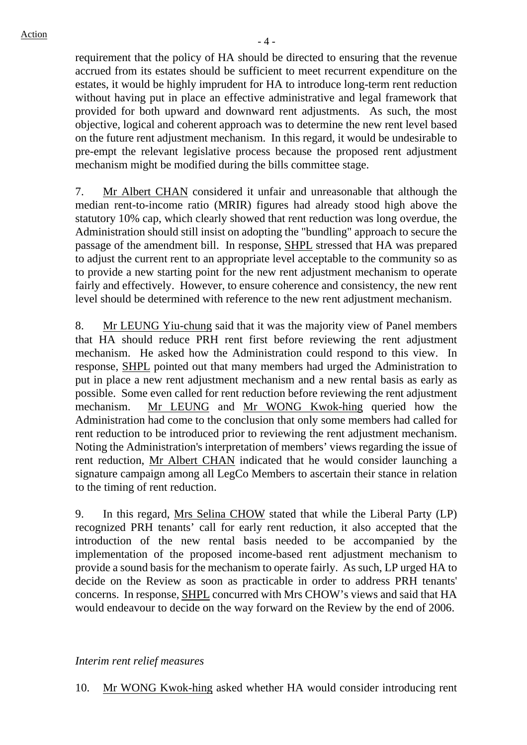requirement that the policy of HA should be directed to ensuring that the revenue accrued from its estates should be sufficient to meet recurrent expenditure on the estates, it would be highly imprudent for HA to introduce long-term rent reduction without having put in place an effective administrative and legal framework that provided for both upward and downward rent adjustments. As such, the most objective, logical and coherent approach was to determine the new rent level based on the future rent adjustment mechanism. In this regard, it would be undesirable to pre-empt the relevant legislative process because the proposed rent adjustment mechanism might be modified during the bills committee stage.

7. Mr Albert CHAN considered it unfair and unreasonable that although the median rent-to-income ratio (MRIR) figures had already stood high above the statutory 10% cap, which clearly showed that rent reduction was long overdue, the Administration should still insist on adopting the "bundling" approach to secure the passage of the amendment bill. In response, SHPL stressed that HA was prepared to adjust the current rent to an appropriate level acceptable to the community so as to provide a new starting point for the new rent adjustment mechanism to operate fairly and effectively. However, to ensure coherence and consistency, the new rent level should be determined with reference to the new rent adjustment mechanism.

8. Mr LEUNG Yiu-chung said that it was the majority view of Panel members that HA should reduce PRH rent first before reviewing the rent adjustment mechanism. He asked how the Administration could respond to this view. In response, SHPL pointed out that many members had urged the Administration to put in place a new rent adjustment mechanism and a new rental basis as early as possible. Some even called for rent reduction before reviewing the rent adjustment mechanism. Mr LEUNG and Mr WONG Kwok-hing queried how the Administration had come to the conclusion that only some members had called for rent reduction to be introduced prior to reviewing the rent adjustment mechanism. Noting the Administration's interpretation of members' views regarding the issue of rent reduction, Mr Albert CHAN indicated that he would consider launching a signature campaign among all LegCo Members to ascertain their stance in relation to the timing of rent reduction.

9. In this regard, Mrs Selina CHOW stated that while the Liberal Party (LP) recognized PRH tenants' call for early rent reduction, it also accepted that the introduction of the new rental basis needed to be accompanied by the implementation of the proposed income-based rent adjustment mechanism to provide a sound basis for the mechanism to operate fairly. As such, LP urged HA to decide on the Review as soon as practicable in order to address PRH tenants' concerns. In response, SHPL concurred with Mrs CHOW's views and said that HA would endeavour to decide on the way forward on the Review by the end of 2006.

#### *Interim rent relief measures*

10. Mr WONG Kwok-hing asked whether HA would consider introducing rent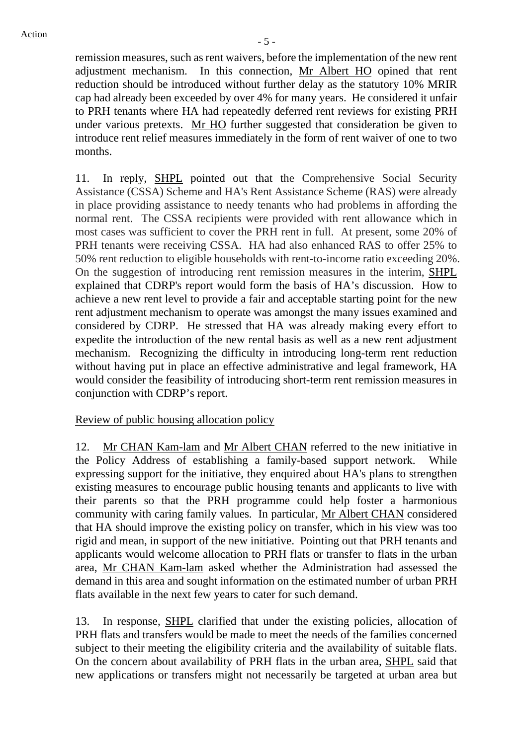remission measures, such as rent waivers, before the implementation of the new rent adjustment mechanism. In this connection, Mr Albert HO opined that rent reduction should be introduced without further delay as the statutory 10% MRIR cap had already been exceeded by over 4% for many years. He considered it unfair to PRH tenants where HA had repeatedly deferred rent reviews for existing PRH under various pretexts. Mr HO further suggested that consideration be given to introduce rent relief measures immediately in the form of rent waiver of one to two months.

11. In reply, SHPL pointed out that the Comprehensive Social Security Assistance (CSSA) Scheme and HA's Rent Assistance Scheme (RAS) were already in place providing assistance to needy tenants who had problems in affording the normal rent. The CSSA recipients were provided with rent allowance which in most cases was sufficient to cover the PRH rent in full. At present, some 20% of PRH tenants were receiving CSSA. HA had also enhanced RAS to offer 25% to 50% rent reduction to eligible households with rent-to-income ratio exceeding 20%. On the suggestion of introducing rent remission measures in the interim, SHPL explained that CDRP's report would form the basis of HA's discussion. How to achieve a new rent level to provide a fair and acceptable starting point for the new rent adjustment mechanism to operate was amongst the many issues examined and considered by CDRP. He stressed that HA was already making every effort to expedite the introduction of the new rental basis as well as a new rent adjustment mechanism. Recognizing the difficulty in introducing long-term rent reduction without having put in place an effective administrative and legal framework, HA would consider the feasibility of introducing short-term rent remission measures in conjunction with CDRP's report.

Review of public housing allocation policy

12. Mr CHAN Kam-lam and Mr Albert CHAN referred to the new initiative in the Policy Address of establishing a family-based support network. While expressing support for the initiative, they enquired about HA's plans to strengthen existing measures to encourage public housing tenants and applicants to live with their parents so that the PRH programme could help foster a harmonious community with caring family values. In particular, Mr Albert CHAN considered that HA should improve the existing policy on transfer, which in his view was too rigid and mean, in support of the new initiative. Pointing out that PRH tenants and applicants would welcome allocation to PRH flats or transfer to flats in the urban area, Mr CHAN Kam-lam asked whether the Administration had assessed the demand in this area and sought information on the estimated number of urban PRH flats available in the next few years to cater for such demand.

13. In response, SHPL clarified that under the existing policies, allocation of PRH flats and transfers would be made to meet the needs of the families concerned subject to their meeting the eligibility criteria and the availability of suitable flats. On the concern about availability of PRH flats in the urban area, SHPL said that new applications or transfers might not necessarily be targeted at urban area but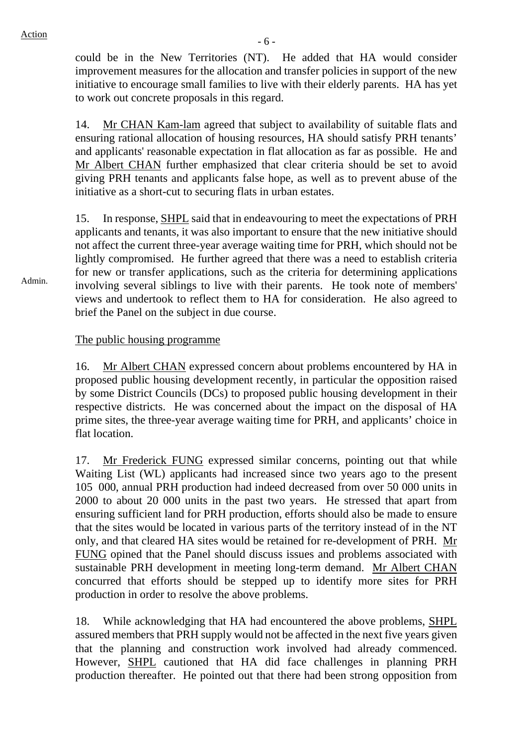could be in the New Territories (NT). He added that HA would consider improvement measures for the allocation and transfer policies in support of the new initiative to encourage small families to live with their elderly parents. HA has yet to work out concrete proposals in this regard.

14. Mr CHAN Kam-lam agreed that subject to availability of suitable flats and ensuring rational allocation of housing resources, HA should satisfy PRH tenants' and applicants' reasonable expectation in flat allocation as far as possible. He and Mr Albert CHAN further emphasized that clear criteria should be set to avoid giving PRH tenants and applicants false hope, as well as to prevent abuse of the initiative as a short-cut to securing flats in urban estates.

15. In response, SHPL said that in endeavouring to meet the expectations of PRH applicants and tenants, it was also important to ensure that the new initiative should not affect the current three-year average waiting time for PRH, which should not be lightly compromised. He further agreed that there was a need to establish criteria for new or transfer applications, such as the criteria for determining applications involving several siblings to live with their parents. He took note of members' views and undertook to reflect them to HA for consideration. He also agreed to brief the Panel on the subject in due course.

#### The public housing programme

16. Mr Albert CHAN expressed concern about problems encountered by HA in proposed public housing development recently, in particular the opposition raised by some District Councils (DCs) to proposed public housing development in their respective districts. He was concerned about the impact on the disposal of HA prime sites, the three-year average waiting time for PRH, and applicants' choice in flat location.

17. Mr Frederick FUNG expressed similar concerns, pointing out that while Waiting List (WL) applicants had increased since two years ago to the present 105 000, annual PRH production had indeed decreased from over 50 000 units in 2000 to about 20 000 units in the past two years. He stressed that apart from ensuring sufficient land for PRH production, efforts should also be made to ensure that the sites would be located in various parts of the territory instead of in the NT only, and that cleared HA sites would be retained for re-development of PRH. Mr FUNG opined that the Panel should discuss issues and problems associated with sustainable PRH development in meeting long-term demand. Mr Albert CHAN concurred that efforts should be stepped up to identify more sites for PRH production in order to resolve the above problems.

18. While acknowledging that HA had encountered the above problems, SHPL assured members that PRH supply would not be affected in the next five years given that the planning and construction work involved had already commenced. However, SHPL cautioned that HA did face challenges in planning PRH production thereafter. He pointed out that there had been strong opposition from

Admin.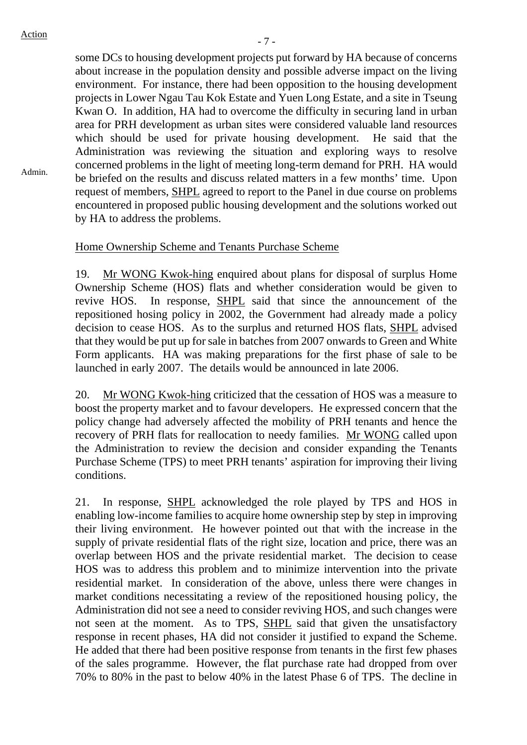Admin.

some DCs to housing development projects put forward by HA because of concerns about increase in the population density and possible adverse impact on the living environment. For instance, there had been opposition to the housing development projects in Lower Ngau Tau Kok Estate and Yuen Long Estate, and a site in Tseung Kwan O. In addition, HA had to overcome the difficulty in securing land in urban area for PRH development as urban sites were considered valuable land resources which should be used for private housing development. He said that the Administration was reviewing the situation and exploring ways to resolve concerned problems in the light of meeting long-term demand for PRH. HA would be briefed on the results and discuss related matters in a few months' time. Upon request of members, SHPL agreed to report to the Panel in due course on problems encountered in proposed public housing development and the solutions worked out by HA to address the problems.

## Home Ownership Scheme and Tenants Purchase Scheme

19. Mr WONG Kwok-hing enquired about plans for disposal of surplus Home Ownership Scheme (HOS) flats and whether consideration would be given to revive HOS. In response, SHPL said that since the announcement of the repositioned hosing policy in 2002, the Government had already made a policy decision to cease HOS. As to the surplus and returned HOS flats, SHPL advised that they would be put up for sale in batches from 2007 onwards to Green and White Form applicants. HA was making preparations for the first phase of sale to be launched in early 2007. The details would be announced in late 2006.

20. Mr WONG Kwok-hing criticized that the cessation of HOS was a measure to boost the property market and to favour developers. He expressed concern that the policy change had adversely affected the mobility of PRH tenants and hence the recovery of PRH flats for reallocation to needy families. Mr WONG called upon the Administration to review the decision and consider expanding the Tenants Purchase Scheme (TPS) to meet PRH tenants' aspiration for improving their living conditions.

21. In response, SHPL acknowledged the role played by TPS and HOS in enabling low-income families to acquire home ownership step by step in improving their living environment. He however pointed out that with the increase in the supply of private residential flats of the right size, location and price, there was an overlap between HOS and the private residential market. The decision to cease HOS was to address this problem and to minimize intervention into the private residential market. In consideration of the above, unless there were changes in market conditions necessitating a review of the repositioned housing policy, the Administration did not see a need to consider reviving HOS, and such changes were not seen at the moment. As to TPS, SHPL said that given the unsatisfactory response in recent phases, HA did not consider it justified to expand the Scheme. He added that there had been positive response from tenants in the first few phases of the sales programme. However, the flat purchase rate had dropped from over 70% to 80% in the past to below 40% in the latest Phase 6 of TPS. The decline in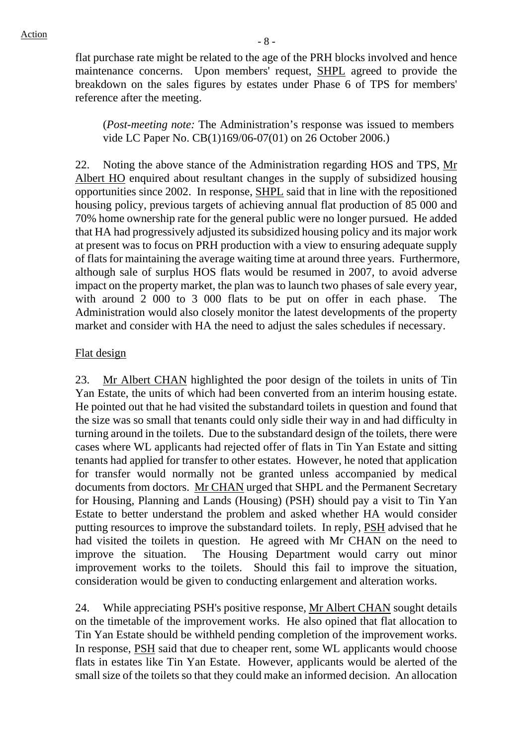flat purchase rate might be related to the age of the PRH blocks involved and hence maintenance concerns. Upon members' request, SHPL agreed to provide the breakdown on the sales figures by estates under Phase 6 of TPS for members' reference after the meeting.

(*Post-meeting note:* The Administration's response was issued to members vide LC Paper No. CB(1)169/06-07(01) on 26 October 2006.)

22. Noting the above stance of the Administration regarding HOS and TPS, Mr Albert HO enquired about resultant changes in the supply of subsidized housing opportunities since 2002. In response, SHPL said that in line with the repositioned housing policy, previous targets of achieving annual flat production of 85 000 and 70% home ownership rate for the general public were no longer pursued. He added that HA had progressively adjusted its subsidized housing policy and its major work at present was to focus on PRH production with a view to ensuring adequate supply of flats for maintaining the average waiting time at around three years. Furthermore, although sale of surplus HOS flats would be resumed in 2007, to avoid adverse impact on the property market, the plan was to launch two phases of sale every year, with around 2 000 to 3 000 flats to be put on offer in each phase. The Administration would also closely monitor the latest developments of the property market and consider with HA the need to adjust the sales schedules if necessary.

#### Flat design

23. Mr Albert CHAN highlighted the poor design of the toilets in units of Tin Yan Estate, the units of which had been converted from an interim housing estate. He pointed out that he had visited the substandard toilets in question and found that the size was so small that tenants could only sidle their way in and had difficulty in turning around in the toilets. Due to the substandard design of the toilets, there were cases where WL applicants had rejected offer of flats in Tin Yan Estate and sitting tenants had applied for transfer to other estates. However, he noted that application for transfer would normally not be granted unless accompanied by medical documents from doctors. Mr CHAN urged that SHPL and the Permanent Secretary for Housing, Planning and Lands (Housing) (PSH) should pay a visit to Tin Yan Estate to better understand the problem and asked whether HA would consider putting resources to improve the substandard toilets. In reply, PSH advised that he had visited the toilets in question. He agreed with Mr CHAN on the need to improve the situation. The Housing Department would carry out minor improvement works to the toilets. Should this fail to improve the situation, consideration would be given to conducting enlargement and alteration works.

24. While appreciating PSH's positive response, Mr Albert CHAN sought details on the timetable of the improvement works. He also opined that flat allocation to Tin Yan Estate should be withheld pending completion of the improvement works. In response, PSH said that due to cheaper rent, some WL applicants would choose flats in estates like Tin Yan Estate. However, applicants would be alerted of the small size of the toilets so that they could make an informed decision. An allocation